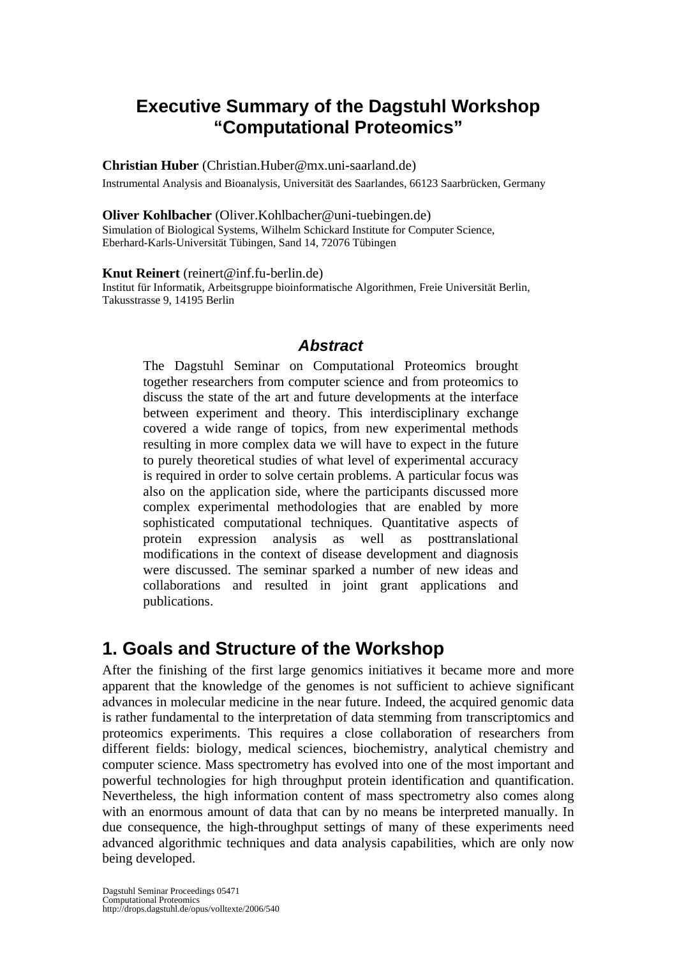## **Executive Summary of the Dagstuhl Workshop "Computational Proteomics"**

### **Christian Huber** (Christian.Huber@mx.uni-saarland.de)

Instrumental Analysis and Bioanalysis, Universität des Saarlandes, 66123 Saarbrücken, Germany

### **Oliver Kohlbacher** (Oliver.Kohlbacher@uni-tuebingen.de)

Simulation of Biological Systems, Wilhelm Schickard Institute for Computer Science, Eberhard-Karls-Universität Tübingen, Sand 14, 72076 Tübingen

#### **Knut Reinert** (reinert@inf.fu-berlin.de)

Institut für Informatik, Arbeitsgruppe bioinformatische Algorithmen, Freie Universität Berlin, Takusstrasse 9, 14195 Berlin

### *Abstract*

The Dagstuhl Seminar on Computational Proteomics brought together researchers from computer science and from proteomics to discuss the state of the art and future developments at the interface between experiment and theory. This interdisciplinary exchange covered a wide range of topics, from new experimental methods resulting in more complex data we will have to expect in the future to purely theoretical studies of what level of experimental accuracy is required in order to solve certain problems. A particular focus was also on the application side, where the participants discussed more complex experimental methodologies that are enabled by more sophisticated computational techniques. Quantitative aspects of protein expression analysis as well as posttranslational modifications in the context of disease development and diagnosis were discussed. The seminar sparked a number of new ideas and collaborations and resulted in joint grant applications and publications.

## **1. Goals and Structure of the Workshop**

After the finishing of the first large genomics initiatives it became more and more apparent that the knowledge of the genomes is not sufficient to achieve significant advances in molecular medicine in the near future. Indeed, the acquired genomic data is rather fundamental to the interpretation of data stemming from transcriptomics and proteomics experiments. This requires a close collaboration of researchers from different fields: biology, medical sciences, biochemistry, analytical chemistry and computer science. Mass spectrometry has evolved into one of the most important and powerful technologies for high throughput protein identification and quantification. Nevertheless, the high information content of mass spectrometry also comes along with an enormous amount of data that can by no means be interpreted manually. In due consequence, the high-throughput settings of many of these experiments need advanced algorithmic techniques and data analysis capabilities, which are only now being developed.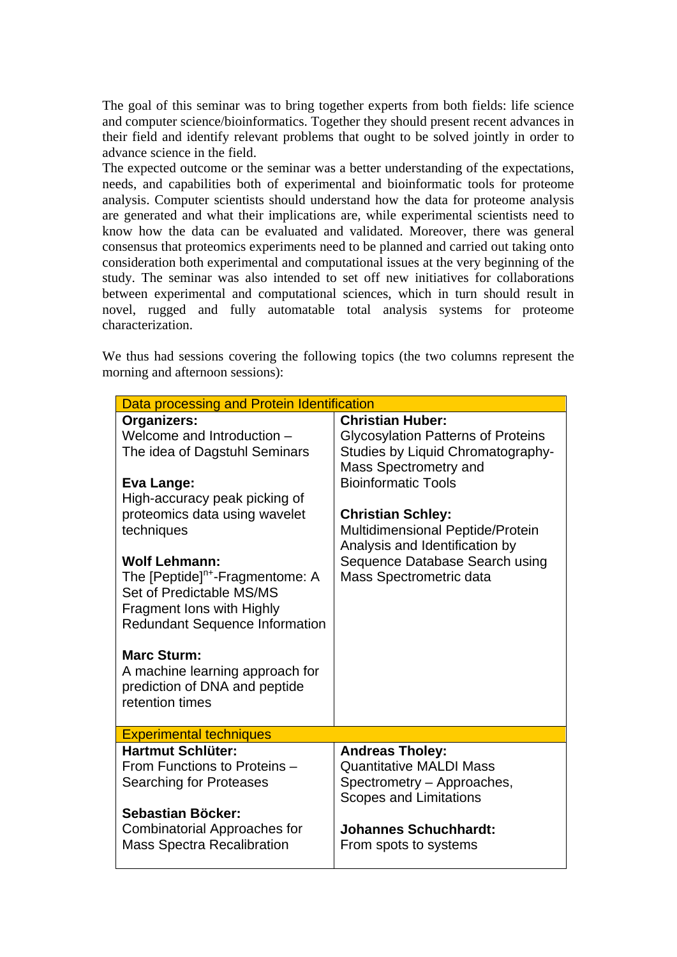The goal of this seminar was to bring together experts from both fields: life science and computer science/bioinformatics. Together they should present recent advances in their field and identify relevant problems that ought to be solved jointly in order to advance science in the field.

The expected outcome or the seminar was a better understanding of the expectations, needs, and capabilities both of experimental and bioinformatic tools for proteome analysis. Computer scientists should understand how the data for proteome analysis are generated and what their implications are, while experimental scientists need to know how the data can be evaluated and validated. Moreover, there was general consensus that proteomics experiments need to be planned and carried out taking onto consideration both experimental and computational issues at the very beginning of the study. The seminar was also intended to set off new initiatives for collaborations between experimental and computational sciences, which in turn should result in novel, rugged and fully automatable total analysis systems for proteome characterization.

We thus had sessions covering the following topics (the two columns represent the morning and afternoon sessions):

| Data processing and Protein Identification                                                                                                                                                                                                                                                                                                                                                                                                                     |                                                                                                                                                                                                                                                                                                                                 |
|----------------------------------------------------------------------------------------------------------------------------------------------------------------------------------------------------------------------------------------------------------------------------------------------------------------------------------------------------------------------------------------------------------------------------------------------------------------|---------------------------------------------------------------------------------------------------------------------------------------------------------------------------------------------------------------------------------------------------------------------------------------------------------------------------------|
| Organizers:<br>Welcome and Introduction -<br>The idea of Dagstuhl Seminars<br>Eva Lange:<br>High-accuracy peak picking of<br>proteomics data using wavelet<br>techniques<br><b>Wolf Lehmann:</b><br>The [Peptide] <sup>n+</sup> -Fragmentome: A<br>Set of Predictable MS/MS<br>Fragment Ions with Highly<br><b>Redundant Sequence Information</b><br><b>Marc Sturm:</b><br>A machine learning approach for<br>prediction of DNA and peptide<br>retention times | <b>Christian Huber:</b><br><b>Glycosylation Patterns of Proteins</b><br>Studies by Liquid Chromatography-<br>Mass Spectrometry and<br><b>Bioinformatic Tools</b><br><b>Christian Schley:</b><br>Multidimensional Peptide/Protein<br>Analysis and Identification by<br>Sequence Database Search using<br>Mass Spectrometric data |
| <b>Experimental techniques</b>                                                                                                                                                                                                                                                                                                                                                                                                                                 |                                                                                                                                                                                                                                                                                                                                 |
| Hartmut Schlüter:<br>From Functions to Proteins -<br>Searching for Proteases<br>Sebastian Böcker:<br><b>Combinatorial Approaches for</b><br><b>Mass Spectra Recalibration</b>                                                                                                                                                                                                                                                                                  | <b>Andreas Tholey:</b><br><b>Quantitative MALDI Mass</b><br>Spectrometry - Approaches,<br><b>Scopes and Limitations</b><br><b>Johannes Schuchhardt:</b><br>From spots to systems                                                                                                                                                |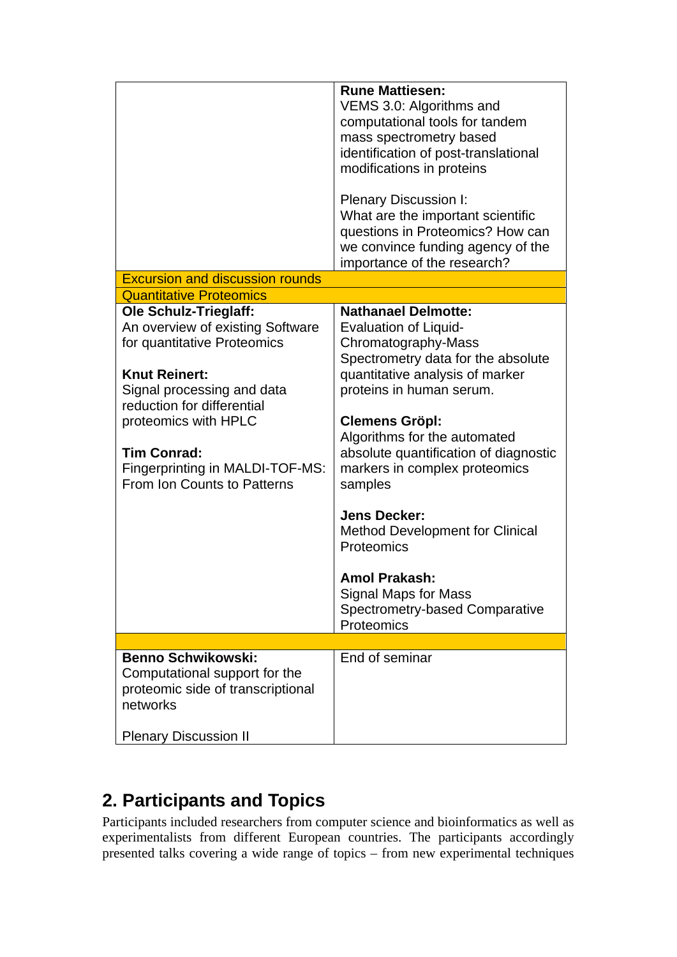| <b>Excursion and discussion rounds</b>                                                                                                                                                                                                                                                              | <b>Rune Mattiesen:</b><br>VEMS 3.0: Algorithms and<br>computational tools for tandem<br>mass spectrometry based<br>identification of post-translational<br>modifications in proteins<br>Plenary Discussion I:<br>What are the important scientific<br>questions in Proteomics? How can<br>we convince funding agency of the<br>importance of the research?                                                                                                                                                                 |
|-----------------------------------------------------------------------------------------------------------------------------------------------------------------------------------------------------------------------------------------------------------------------------------------------------|----------------------------------------------------------------------------------------------------------------------------------------------------------------------------------------------------------------------------------------------------------------------------------------------------------------------------------------------------------------------------------------------------------------------------------------------------------------------------------------------------------------------------|
| <b>Quantitative Proteomics</b>                                                                                                                                                                                                                                                                      |                                                                                                                                                                                                                                                                                                                                                                                                                                                                                                                            |
| <b>Ole Schulz-Trieglaff:</b><br>An overview of existing Software<br>for quantitative Proteomics<br><b>Knut Reinert:</b><br>Signal processing and data<br>reduction for differential<br>proteomics with HPLC<br><b>Tim Conrad:</b><br>Fingerprinting in MALDI-TOF-MS:<br>From Ion Counts to Patterns | <b>Nathanael Delmotte:</b><br><b>Evaluation of Liquid-</b><br>Chromatography-Mass<br>Spectrometry data for the absolute<br>quantitative analysis of marker<br>proteins in human serum.<br><b>Clemens Gröpl:</b><br>Algorithms for the automated<br>absolute quantification of diagnostic<br>markers in complex proteomics<br>samples<br><b>Jens Decker:</b><br><b>Method Development for Clinical</b><br>Proteomics<br><b>Amol Prakash:</b><br>Signal Maps for Mass<br><b>Spectrometry-based Comparative</b><br>Proteomics |
|                                                                                                                                                                                                                                                                                                     |                                                                                                                                                                                                                                                                                                                                                                                                                                                                                                                            |
| <b>Benno Schwikowski:</b><br>Computational support for the<br>proteomic side of transcriptional<br>networks                                                                                                                                                                                         | End of seminar                                                                                                                                                                                                                                                                                                                                                                                                                                                                                                             |
| <b>Plenary Discussion II</b>                                                                                                                                                                                                                                                                        |                                                                                                                                                                                                                                                                                                                                                                                                                                                                                                                            |

# **2. Participants and Topics**

Participants included researchers from computer science and bioinformatics as well as experimentalists from different European countries. The participants accordingly presented talks covering a wide range of topics – from new experimental techniques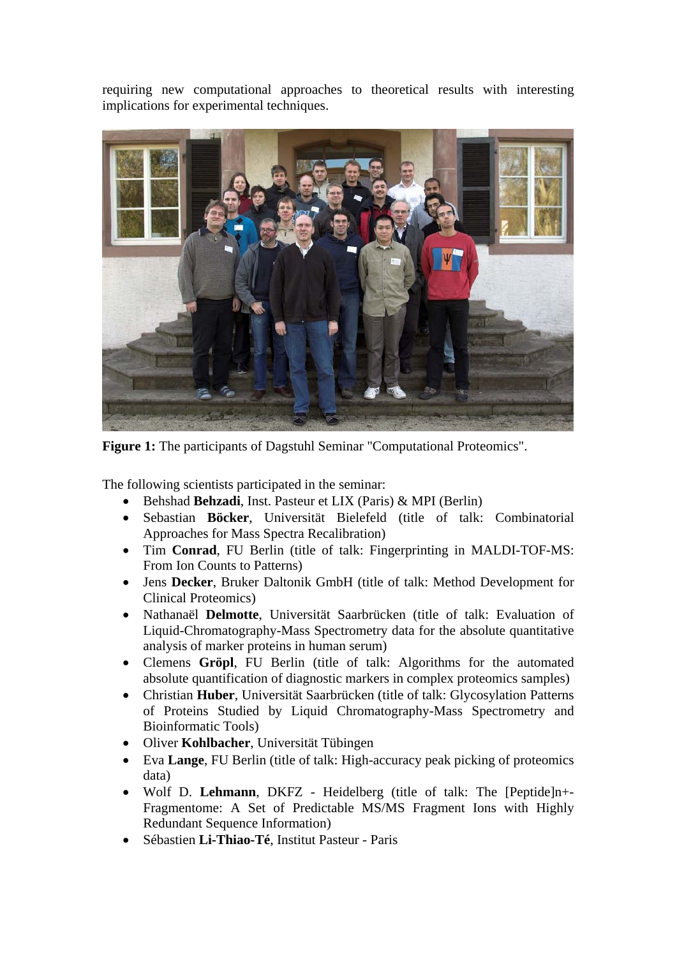requiring new computational approaches to theoretical results with interesting implications for experimental techniques.



**Figure 1:** The participants of Dagstuhl Seminar "Computational Proteomics".

The following scientists participated in the seminar:

- Behshad **Behzadi**, Inst. Pasteur et LIX (Paris) & MPI (Berlin)
- Sebastian **Böcker**, Universität Bielefeld (title of talk: Combinatorial Approaches for Mass Spectra Recalibration)
- Tim **Conrad**, FU Berlin (title of talk: Fingerprinting in MALDI-TOF-MS: From Ion Counts to Patterns)
- Jens **Decker**, Bruker Daltonik GmbH (title of talk: Method Development for Clinical Proteomics)
- Nathanaël **Delmotte**, Universität Saarbrücken (title of talk: Evaluation of Liquid-Chromatography-Mass Spectrometry data for the absolute quantitative analysis of marker proteins in human serum)
- Clemens **Gröpl**, FU Berlin (title of talk: Algorithms for the automated absolute quantification of diagnostic markers in complex proteomics samples)
- Christian **Huber**, Universität Saarbrücken (title of talk: Glycosylation Patterns of Proteins Studied by Liquid Chromatography-Mass Spectrometry and Bioinformatic Tools)
- Oliver **Kohlbacher**, Universität Tübingen
- Eva **Lange**, FU Berlin (title of talk: High-accuracy peak picking of proteomics data)
- Wolf D. **Lehmann**, DKFZ Heidelberg (title of talk: The [Peptide]n+- Fragmentome: A Set of Predictable MS/MS Fragment Ions with Highly Redundant Sequence Information)
- Sébastien **Li-Thiao-Té**, Institut Pasteur Paris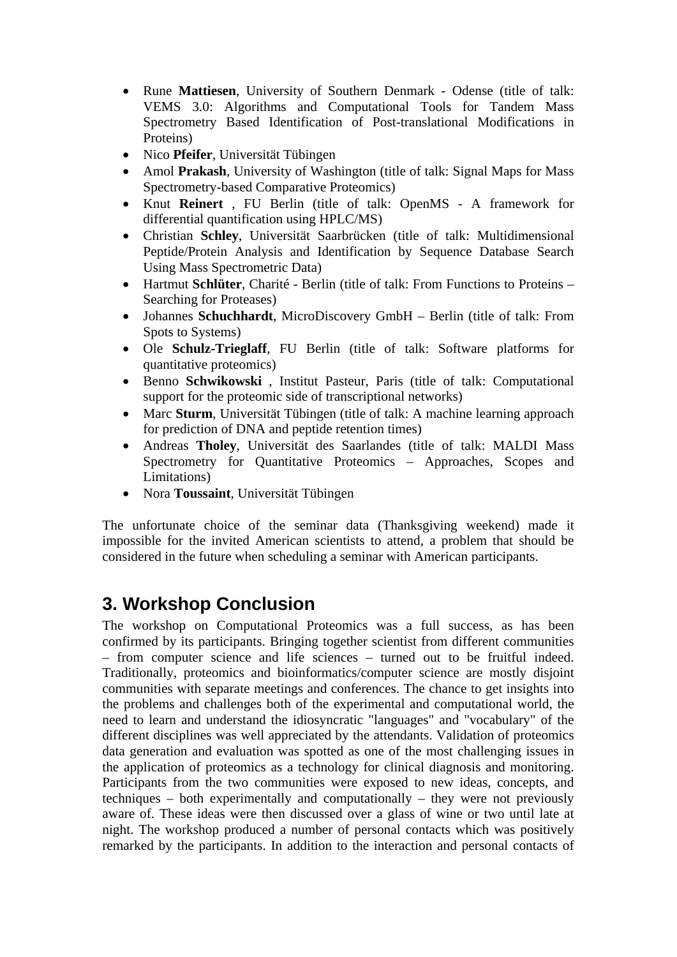- Rune **Mattiesen**, University of Southern Denmark Odense (title of talk: VEMS 3.0: Algorithms and Computational Tools for Tandem Mass Spectrometry Based Identification of Post-translational Modifications in Proteins)
- Nico **Pfeifer**, Universität Tübingen
- Amol **Prakash**, University of Washington (title of talk: Signal Maps for Mass Spectrometry-based Comparative Proteomics)
- Knut **Reinert** , FU Berlin (title of talk: OpenMS A framework for differential quantification using HPLC/MS)
- Christian **Schley**, Universität Saarbrücken (title of talk: Multidimensional Peptide/Protein Analysis and Identification by Sequence Database Search Using Mass Spectrometric Data)
- Hartmut **Schlüter**, Charité Berlin (title of talk: From Functions to Proteins Searching for Proteases)
- Johannes **Schuchhardt**, MicroDiscovery GmbH Berlin (title of talk: From Spots to Systems)
- Ole **Schulz-Trieglaff**, FU Berlin (title of talk: Software platforms for quantitative proteomics)
- Benno **Schwikowski** , Institut Pasteur, Paris (title of talk: Computational support for the proteomic side of transcriptional networks)
- Marc **Sturm**, Universität Tübingen (title of talk: A machine learning approach for prediction of DNA and peptide retention times)
- Andreas **Tholey**, Universität des Saarlandes (title of talk: MALDI Mass Spectrometry for Quantitative Proteomics – Approaches, Scopes and Limitations)
- Nora **Toussaint**, Universität Tübingen

The unfortunate choice of the seminar data (Thanksgiving weekend) made it impossible for the invited American scientists to attend, a problem that should be considered in the future when scheduling a seminar with American participants.

## **3. Workshop Conclusion**

The workshop on Computational Proteomics was a full success, as has been confirmed by its participants. Bringing together scientist from different communities – from computer science and life sciences – turned out to be fruitful indeed. Traditionally, proteomics and bioinformatics/computer science are mostly disjoint communities with separate meetings and conferences. The chance to get insights into the problems and challenges both of the experimental and computational world, the need to learn and understand the idiosyncratic "languages" and "vocabulary" of the different disciplines was well appreciated by the attendants. Validation of proteomics data generation and evaluation was spotted as one of the most challenging issues in the application of proteomics as a technology for clinical diagnosis and monitoring. Participants from the two communities were exposed to new ideas, concepts, and techniques – both experimentally and computationally – they were not previously aware of. These ideas were then discussed over a glass of wine or two until late at night. The workshop produced a number of personal contacts which was positively remarked by the participants. In addition to the interaction and personal contacts of